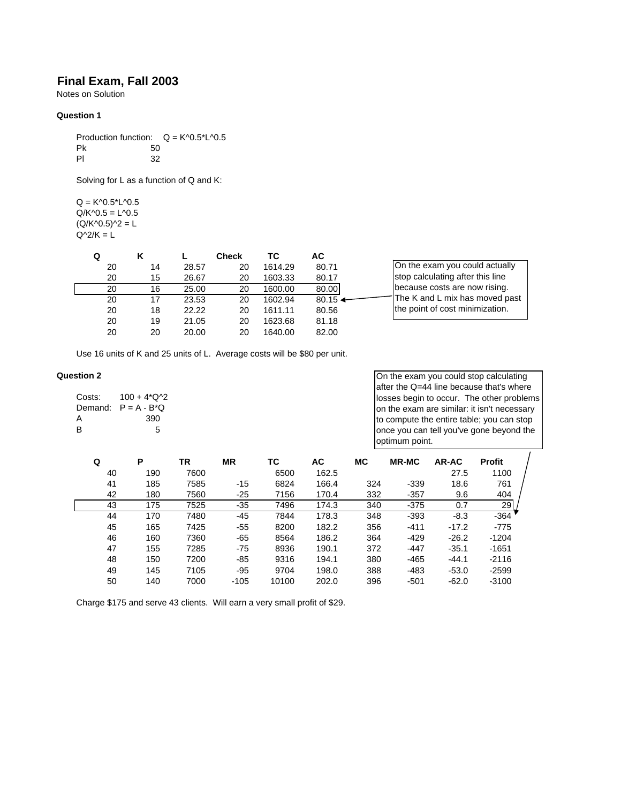# **Final Exam, Fall 2003**

Notes on Solution

#### **Question 1**

Production function:  $Q = K^0.5^*L^0.5$ Pk 50 Pl 32

Solving for L as a function of Q and K:

 $Q = K^0.5^*L^0.5$  $Q/K^0.5 = L^0.5$  $(Q/K^0.5)^2 = L$  $Q^2/K = L$ 

|    |    |       | <b>Check</b> | тс      | АC    |                                  |
|----|----|-------|--------------|---------|-------|----------------------------------|
| 20 | 14 | 28.57 | 20           | 1614.29 | 80.71 | On the exam you could actually   |
| 20 | 15 | 26.67 | 20           | 1603.33 | 80.17 | stop calculating after this line |
| 20 | 16 | 25.00 | 20           | 1600.00 | 80.00 | because costs are now rising.    |
| 20 | 17 | 23.53 | 20           | 1602.94 | 80.15 | The K and L mix has moved past   |
| 20 | 18 | 22.22 | 20           | 1611.11 | 80.56 | the point of cost minimization.  |
| 20 | 19 | 21.05 | 20           | 1623.68 | 81.18 |                                  |
| 20 | 20 | 20.00 | 20           | 1640.00 | 82.00 |                                  |

Use 16 units of K and 25 units of L. Average costs will be \$80 per unit.

#### **Question 2**

| Costs: | $100 + 4*O^{-2}$       |
|--------|------------------------|
|        | Demand: $P = A - B^*Q$ |
| А      | 390                    |
| B      | 5                      |

On the exam you could stop calculating after the Q=44 line because that's where losses begin to occur. The other problems on the exam are similar: it isn't necessary to compute the entire table; you can stop once you can tell you've gone beyond the optimum point.

| Q  | P   | TR   | ΜR     | тс    | АC    | МC  | <b>MR-MC</b> | AR-AC   | <b>Profit</b> |
|----|-----|------|--------|-------|-------|-----|--------------|---------|---------------|
| 40 | 190 | 7600 |        | 6500  | 162.5 |     |              | 27.5    | 1100          |
| 41 | 185 | 7585 | $-15$  | 6824  | 166.4 | 324 | $-339$       | 18.6    | 761           |
| 42 | 180 | 7560 | $-25$  | 7156  | 170.4 | 332 | $-357$       | 9.6     | 404           |
| 43 | 175 | 7525 | $-35$  | 7496  | 174.3 | 340 | $-375$       | 0.7     | 29            |
| 44 | 170 | 7480 | -45    | 7844  | 178.3 | 348 | $-393$       | $-8.3$  | $-364$        |
| 45 | 165 | 7425 | $-55$  | 8200  | 182.2 | 356 | $-411$       | $-17.2$ | $-775$        |
| 46 | 160 | 7360 | $-65$  | 8564  | 186.2 | 364 | $-429$       | $-26.2$ | $-1204$       |
| 47 | 155 | 7285 | $-75$  | 8936  | 190.1 | 372 | $-447$       | $-35.1$ | $-1651$       |
| 48 | 150 | 7200 | -85    | 9316  | 194.1 | 380 | $-465$       | $-44.1$ | $-2116$       |
| 49 | 145 | 7105 | $-95$  | 9704  | 198.0 | 388 | $-483$       | $-53.0$ | $-2599$       |
| 50 | 140 | 7000 | $-105$ | 10100 | 202.0 | 396 | $-501$       | $-62.0$ | $-3100$       |

Charge \$175 and serve 43 clients. Will earn a very small profit of \$29.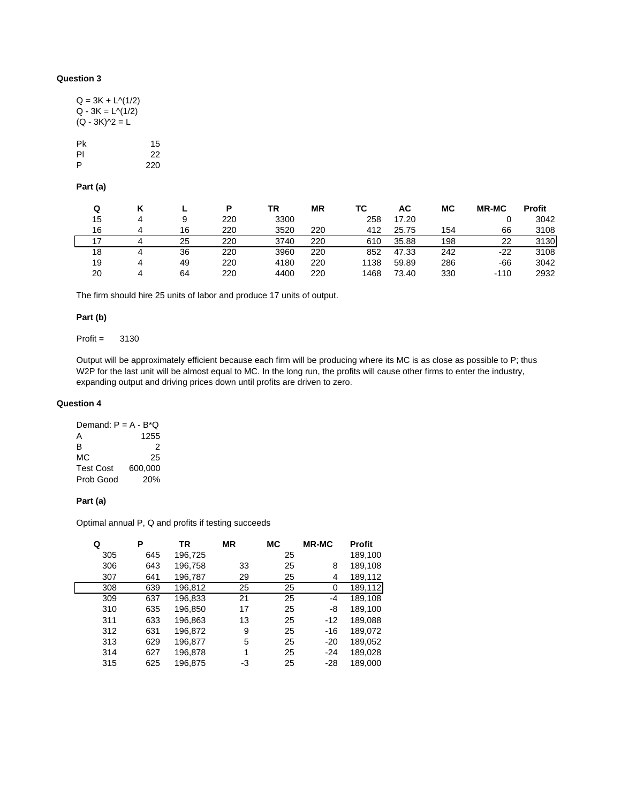## **Question 3**

| $Q = 3K + L^{(1/2)}$ |     |
|----------------------|-----|
| $Q - 3K = L^{(1/2)}$ |     |
| $(Q - 3K)^2 = L$     |     |
|                      |     |
| Рk                   | 15  |
| PI                   | 22  |
| P                    | 220 |

### **Part (a)**

| Q  |   |    | D   | ΤR   | <b>MR</b> | ТC   | АC    | МC  | <b>MR-MC</b> | <b>Profit</b> |
|----|---|----|-----|------|-----------|------|-------|-----|--------------|---------------|
| 15 | 4 | 9  | 220 | 3300 |           | 258  | 17.20 |     |              | 3042          |
| 16 |   | 16 | 220 | 3520 | 220       | 412  | 25.75 | 154 | 66           | 3108          |
|    |   | 25 | 220 | 3740 | 220       | 610  | 35.88 | 198 | 22           | 3130          |
| 18 | 4 | 36 | 220 | 3960 | 220       | 852  | 47.33 | 242 | $-22$        | 3108          |
| 19 | 4 | 49 | 220 | 4180 | 220       | 1138 | 59.89 | 286 | -66          | 3042          |
| 20 | 4 | 64 | 220 | 4400 | 220       | 1468 | 73.40 | 330 | $-110$       | 2932          |

The firm should hire 25 units of labor and produce 17 units of output.

## **Part (b)**

Profit = 3130

Output will be approximately efficient because each firm will be producing where its MC is as close as possible to P; thus W2P for the last unit will be almost equal to MC. In the long run, the profits will cause other firms to enter the industry, expanding output and driving prices down until profits are driven to zero.

#### **Question 4**

| Demand: $P = A - B^*Q$ |         |
|------------------------|---------|
| А                      | 1255    |
| в                      | 2       |
| МC                     | 25      |
| <b>Test Cost</b>       | 600.000 |
| Prob Good              | 20%     |

## **Part (a)**

Optimal annual P, Q and profits if testing succeeds

| Q |     | Ρ   | <b>TR</b> | ΜR | <b>MC</b> | <b>MR-MC</b> | <b>Profit</b> |
|---|-----|-----|-----------|----|-----------|--------------|---------------|
|   | 305 | 645 | 196,725   |    | 25        |              | 189,100       |
|   | 306 | 643 | 196,758   | 33 | 25        | 8            | 189,108       |
|   | 307 | 641 | 196,787   | 29 | 25        | 4            | 189,112       |
|   | 308 | 639 | 196,812   | 25 | 25        | 0            | 189,112       |
|   | 309 | 637 | 196,833   | 21 | 25        | -4           | 189,108       |
|   | 310 | 635 | 196,850   | 17 | 25        | -8           | 189,100       |
|   | 311 | 633 | 196,863   | 13 | 25        | $-12$        | 189,088       |
|   | 312 | 631 | 196,872   | 9  | 25        | $-16$        | 189,072       |
|   | 313 | 629 | 196,877   | 5  | 25        | $-20$        | 189,052       |
|   | 314 | 627 | 196,878   | 1  | 25        | -24          | 189,028       |
|   | 315 | 625 | 196,875   | -3 | 25        | $-28$        | 189,000       |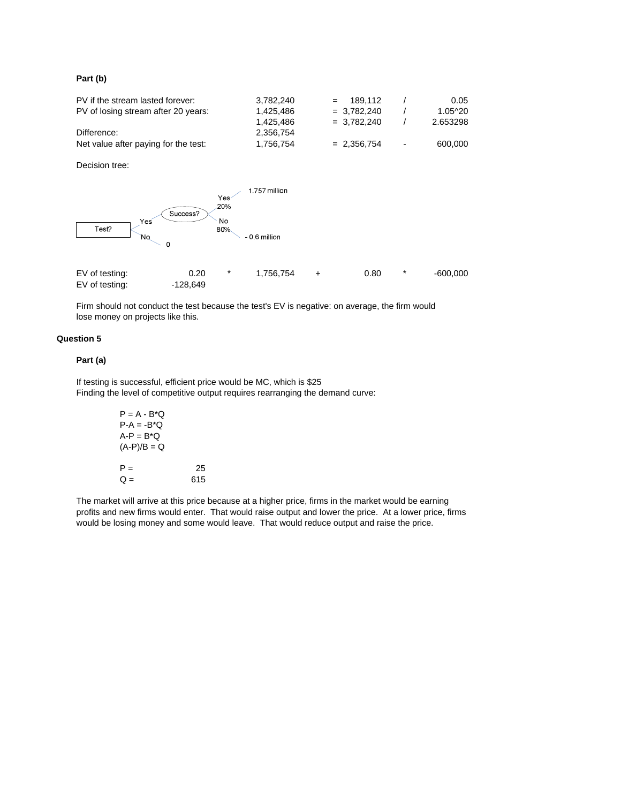### **Part (b)**

| PV if the stream lasted forever:     | 3.782.240 | $= 189.112$   |                          | 0.05     |
|--------------------------------------|-----------|---------------|--------------------------|----------|
| PV of losing stream after 20 years:  | 1.425.486 | $= 3.782.240$ |                          | 1.05^20  |
|                                      | 1.425.486 | $= 3.782.240$ |                          | 2.653298 |
| Difference:                          | 2.356.754 |               |                          |          |
| Net value after paying for the test: | 1.756.754 | $= 2.356.754$ | $\overline{\phantom{a}}$ | 600.000  |

Decision tree:



Firm should not conduct the test because the test's EV is negative: on average, the firm would lose money on projects like this.

## **Question 5**

#### **Part (a)**

If testing is successful, efficient price would be MC, which is \$25 Finding the level of competitive output requires rearranging the demand curve:

| P = A - B*O   |     |
|---------------|-----|
| $P-A = -B^*Q$ |     |
| $A-P = B^*Q$  |     |
| $(A-P)/B = Q$ |     |
|               |     |
| $P =$         | 25  |
| 0 =           | 615 |

The market will arrive at this price because at a higher price, firms in the market would be earning profits and new firms would enter. That would raise output and lower the price. At a lower price, firms would be losing money and some would leave. That would reduce output and raise the price.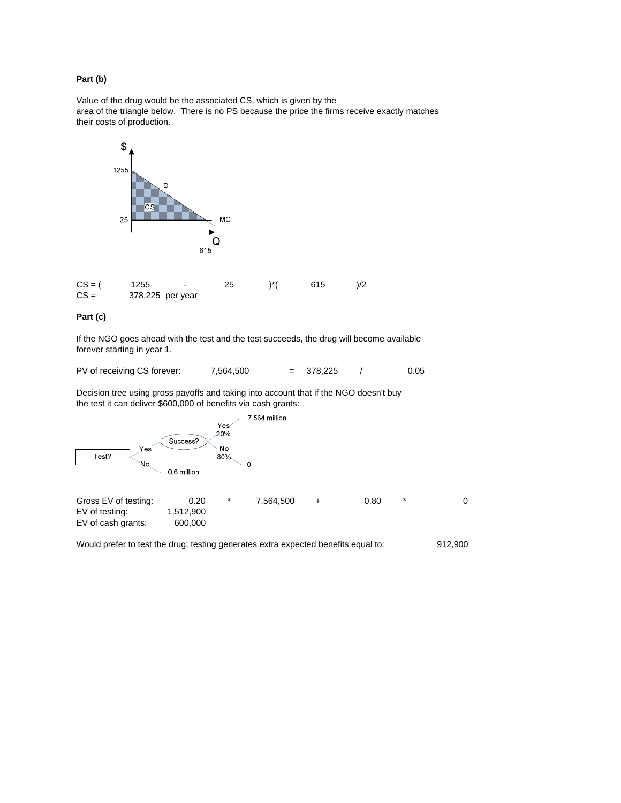### **Part (b)**

Value of the drug would be the associated CS, which is given by the area of the triangle below. There is no PS because the price the firms receive exactly matches their costs of production.



## **Part (c)**

If the NGO goes ahead with the test and the test succeeds, the drug will become available forever starting in year 1.

PV of receiving CS forever: 7,564,500 = 378,225 / 0.05

Decision tree using gross payoffs and taking into account that if the NGO doesn't buy the test it can deliver \$600,000 of benefits via cash grants:



Would prefer to test the drug; testing generates extra expected benefits equal to: 912,900